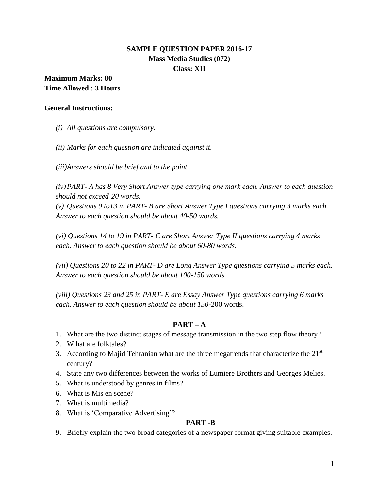# **SAMPLE QUESTION PAPER 2016-17 Mass Media Studies (072) Class: XII**

# **Maximum Marks: 80 Time Allowed : 3 Hours**

### **General Instructions:**

*(i) All questions are compulsory.*

*(ii) Marks for each question are indicated against it.*

*(iii)Answers should be brief and to the point.*

*(iv)PART- A has 8 Very Short Answer type carrying one mark each. Answer to each question should not exceed 20 words.*

*(v) Questions 9 to13 in PART- B are Short Answer Type I questions carrying 3 marks each. Answer to each question should be about 40-50 words.*

*(vi) Questions 14 to 19 in PART- C are Short Answer Type II questions carrying 4 marks each. Answer to each question should be about 60-80 words.*

*(vii) Questions 20 to 22 in PART- D are Long Answer Type questions carrying 5 marks each. Answer to each question should be about 100-150 words.*

*(viii) Questions 23 and 25 in PART- E are Essay Answer Type questions carrying 6 marks each. Answer to each question should be about 150-*200 words.

# **PART – A**

- 1. What are the two distinct stages of message transmission in the two step flow theory?
- 2. W hat are folktales?
- 3. According to Majid Tehranian what are the three megatrends that characterize the  $21<sup>st</sup>$ century?
- 4. State any two differences between the works of Lumiere Brothers and Georges Melies.
- 5. What is understood by genres in films?
- 6. What is Mis en scene?
- 7. What is multimedia?
- 8. What is 'Comparative Advertising'?

### **PART -B**

9. Briefly explain the two broad categories of a newspaper format giving suitable examples.